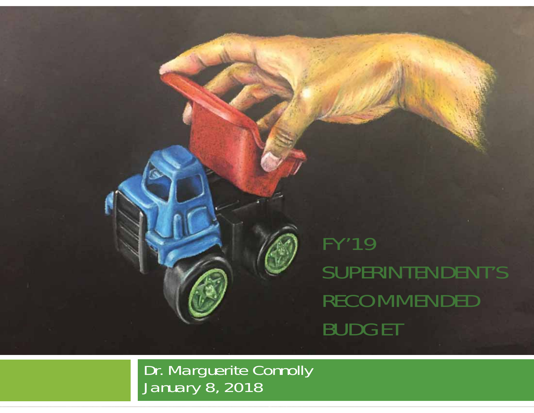

FY'19 SUPERINTENDENT'S RECOMMENDED BUDGET

Dr. Marguerite Connolly January 8, 2018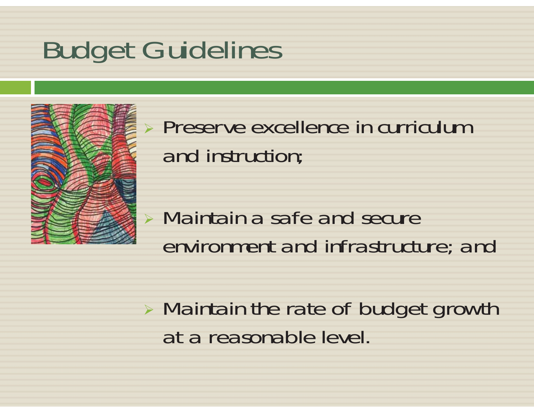## Budget Guidelines



 Preserve excellence in curriculum and instruction;

#### ¾ Maintain a safe and secure environment and infrastructure; and

¾ Maintain the rate of budget growth at a reasonable level.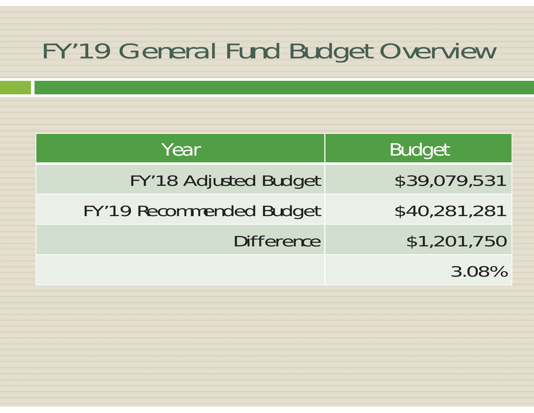#### FY'19 General Fund Budget Overview

| Year                         | <b>Budget</b> |
|------------------------------|---------------|
| <b>FY'18 Adjusted Budget</b> | \$39,079,531  |
| FY'19 Recommended Budget     | \$40,281,281  |
| <b>Difference</b>            | \$1,201,750   |
|                              | 3.08%         |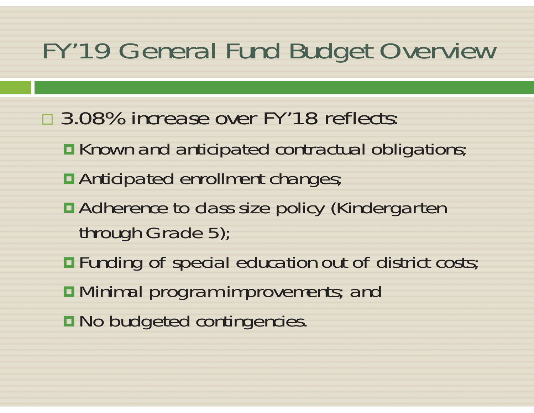#### FY'19 General Fund Budget Overview

- □ 3.08% increase over FY'18 reflects:
	- Known and anticipated contractual obligations;
	- Anticipated enrollment changes;
	- Adherence to class size policy (Kindergarten through Grade 5);
	- Funding of special education out of district costs;
	- **D** Minimal program improvements; and
	- **n** No budgeted contingencies.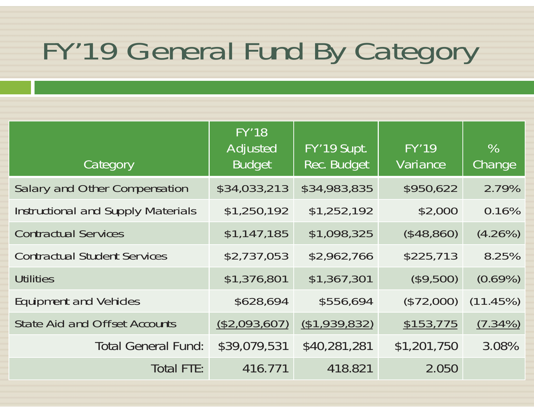# FY'19 General Fund By Category

| <b>Category</b>                           | <b>FY'18</b><br><b>Adjusted</b><br><b>Budget</b> | FY'19 Supt.<br><b>Rec. Budget</b> | <b>FY'19</b><br><b>Variance</b> | $\%$<br>Change |
|-------------------------------------------|--------------------------------------------------|-----------------------------------|---------------------------------|----------------|
| Salary and Other Compensation             | \$34,033,213                                     | \$34,983,835                      | \$950,622                       | 2.79%          |
| <b>Instructional and Supply Materials</b> | \$1,250,192                                      | \$1,252,192                       | \$2,000                         | 0.16%          |
| <b>Contractual Services</b>               | \$1,147,185                                      | \$1,098,325                       | (\$48,860)                      | $(4.26\%)$     |
| <b>Contractual Student Services</b>       | \$2,737,053                                      | \$2,962,766                       | \$225,713                       | 8.25%          |
| <b>Utilities</b>                          | \$1,376,801                                      | \$1,367,301                       | (\$9,500)                       | $(0.69\%)$     |
| <b>Equipment and Vehicles</b>             | \$628,694                                        | \$556,694                         | (\$72,000)                      | (11.45%)       |
| <b>State Aid and Offset Accounts</b>      | (\$2,093,607)                                    | (\$1,939,832)                     | \$153,775                       | $(7.34\%)$     |
| <b>Total General Fund:</b>                | \$39,079,531                                     | \$40,281,281                      | \$1,201,750                     | 3.08%          |
| <b>Total FTE:</b>                         | 416.771                                          | 418.821                           | 2.050                           |                |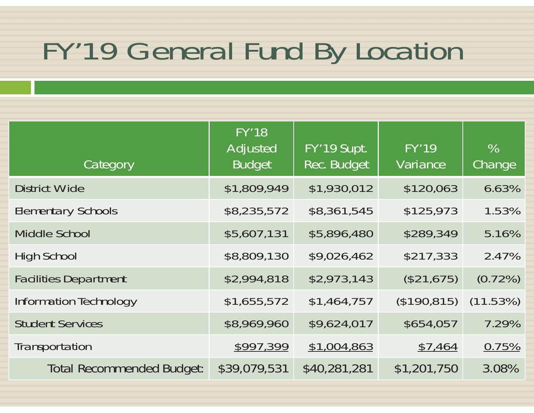## FY'19 General Fund By Location

| Category                         | <b>FY'18</b><br><b>Adjusted</b><br><b>Budget</b> | FY'19 Supt.<br><b>Rec. Budget</b> | <b>FY'19</b><br>Variance | $\%$<br>Change |
|----------------------------------|--------------------------------------------------|-----------------------------------|--------------------------|----------------|
| <b>District Wide</b>             | \$1,809,949                                      | \$1,930,012                       | \$120,063                | 6.63%          |
| <b>Elementary Schools</b>        | \$8,235,572                                      | \$8,361,545                       | \$125,973                | 1.53%          |
| <b>Middle School</b>             | \$5,607,131                                      | \$5,896,480                       | \$289,349                | 5.16%          |
| <b>High School</b>               | \$8,809,130                                      | \$9,026,462                       | \$217,333                | 2.47%          |
| <b>Facilities Department</b>     | \$2,994,818                                      | \$2,973,143                       | (\$21,675)               | $(0.72\%)$     |
| Information Technology           | \$1,655,572                                      | \$1,464,757                       | (\$190,815)              | (11.53%)       |
| <b>Student Services</b>          | \$8,969,960                                      | \$9,624,017                       | \$654,057                | 7.29%          |
| Transportation                   | \$997,399                                        | \$1,004,863                       | \$7,464                  | 0.75%          |
| <b>Total Recommended Budget:</b> | \$39,079,531                                     | \$40,281,281                      | \$1,201,750              | 3.08%          |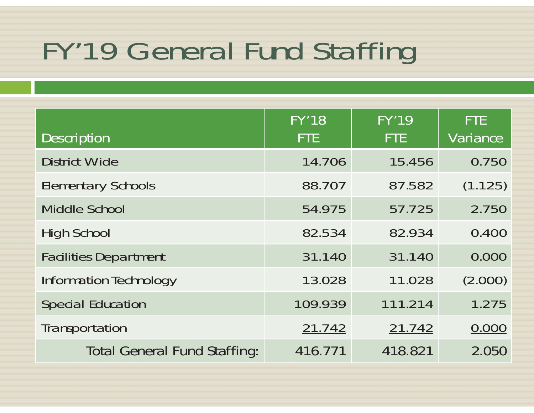## FY'19 General Fund Staffing

| <b>Description</b>                  | <b>FY'18</b><br><b>FTE</b> | <b>FY'19</b><br><b>FTE</b> | <b>FTE</b><br>Variance |
|-------------------------------------|----------------------------|----------------------------|------------------------|
| <b>District Wide</b>                | 14.706                     | 15.456                     | 0.750                  |
| <b>Elementary Schools</b>           | 88.707                     | 87.582                     | (1.125)                |
| <b>Middle School</b>                | 54.975                     | 57.725                     | 2.750                  |
| <b>High School</b>                  | 82.534                     | 82.934                     | 0.400                  |
| <b>Facilities Department</b>        | 31.140                     | 31.140                     | 0.000                  |
| Information Technology              | 13.028                     | 11.028                     | (2.000)                |
| <b>Special Education</b>            | 109.939                    | 111.214                    | 1.275                  |
| Transportation                      | 21.742                     | 21.742                     | 0.000                  |
| <b>Total General Fund Staffing:</b> | 416.771                    | 418.821                    | 2.050                  |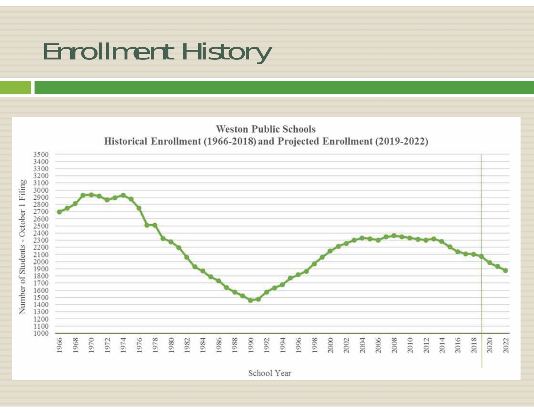#### Enrollment History



School Year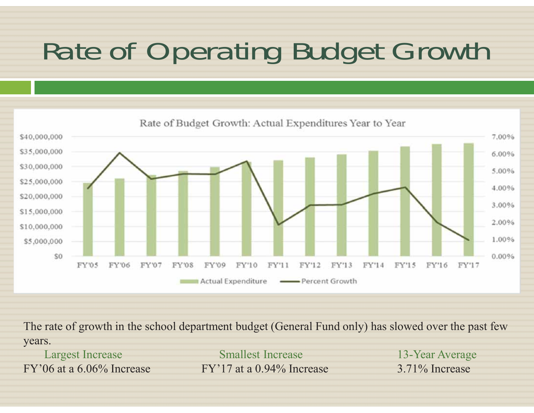# Rate of Operating Budget Growth



The rate of growth in the school department budget (General Fund only) has slowed over the past few years.

Largest Increase Smallest Increase 13-Year Average FY'06 at a  $6.06\%$  Increase FY'17 at a  $0.94\%$  Increase 3.71% Increase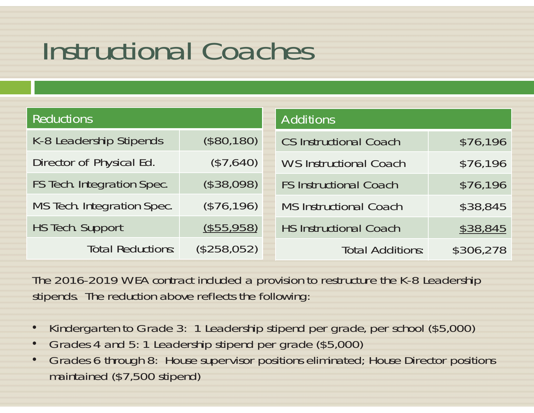## Instructional Coaches

| <b>Reductions</b>          |             | <b>Additions</b>              |           |
|----------------------------|-------------|-------------------------------|-----------|
| K-8 Leadership Stipends    | (\$80,180)  | <b>CS Instructional Coach</b> | \$76,196  |
| Director of Physical Ed.   | (\$7,640)   | <b>WS Instructional Coach</b> | \$76,196  |
| FS Tech. Integration Spec. | (\$38,098)  | <b>FS Instructional Coach</b> | \$76,196  |
| MS Tech. Integration Spec. | (\$76,196)  | <b>MS Instructional Coach</b> | \$38,845  |
| <b>HS Tech. Support</b>    | (\$55,958)  | <b>HS Instructional Coach</b> | \$38,845  |
| <b>Total Reductions:</b>   | (\$258,052) | <b>Total Additions:</b>       | \$306,278 |

The 2016-2019 WEA contract included a provision to restructure the K-8 Leadership stipends. The reduction above reflects the following:

- •Kindergarten to Grade 3: 1 Leadership stipend per grade, per school (\$5,000)
- •Grades 4 and 5: 1 Leadership stipend per grade (\$5,000)
- • Grades 6 through 8: House supervisor positions eliminated; House Director positions maintained (\$7,500 stipend)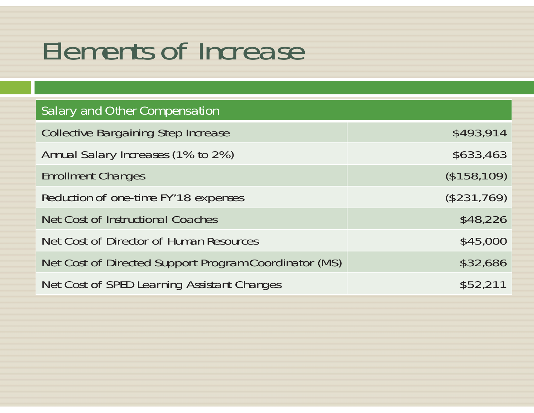#### Elements of Increase

| <b>Salary and Other Compensation</b>                  |             |
|-------------------------------------------------------|-------------|
| <b>Collective Bargaining Step Increase</b>            | \$493,914   |
| Annual Salary Increases (1% to 2%)                    | \$633,463   |
| <b>Enrollment Changes</b>                             | (\$158,109) |
| Reduction of one-time FY'18 expenses                  | (\$231,769) |
| Net Cost of Instructional Coaches                     | \$48,226    |
| Net Cost of Director of Human Resources               | \$45,000    |
| Net Cost of Directed Support Program Coordinator (MS) | \$32,686    |
| Net Cost of SPED Learning Assistant Changes           | \$52,211    |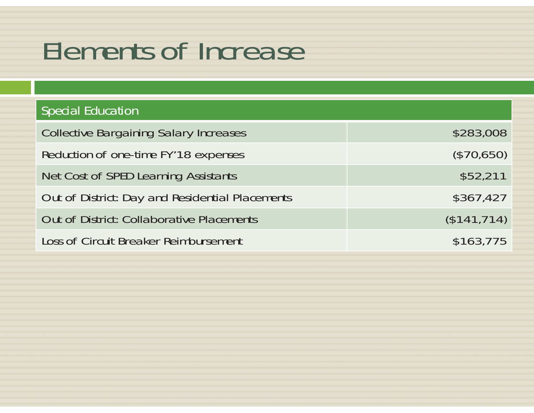#### Elements of Increase

| <b>Special Education</b>                         |             |
|--------------------------------------------------|-------------|
| <b>Collective Bargaining Salary Increases</b>    | \$283,008   |
| Reduction of one-time FY'18 expenses             | (\$70,650)  |
| Net Cost of SPED Learning Assistants             | \$52,211    |
| Out of District: Day and Residential Placements  | \$367,427   |
| <b>Out of District: Collaborative Placements</b> | (\$141,714) |
| Loss of Circuit Breaker Reimbursement            | \$163,775   |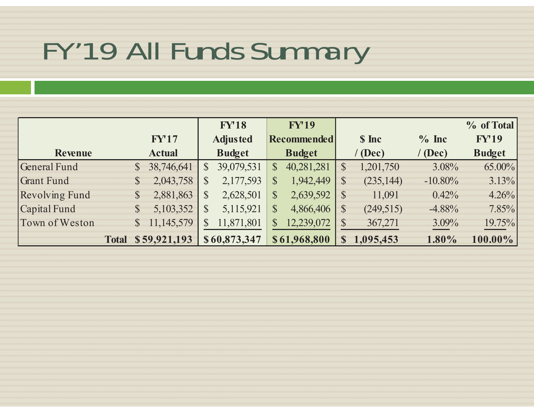## FY'19 All Funds Summary

|                       |                            | <b>FY18</b>                | <b>FY'19</b>               |                            |            | % of Total    |
|-----------------------|----------------------------|----------------------------|----------------------------|----------------------------|------------|---------------|
|                       | FY17                       | <b>Adjusted</b>            | <b>Recommended</b>         | \$ Inc                     | $%$ Inc    | <b>FY'19</b>  |
| <b>Revenue</b>        | <b>Actual</b>              | <b>Budget</b>              | <b>Budget</b>              | $^{\prime}$ (Dec)          | (Dec)      | <b>Budget</b> |
| General Fund          | 38,746,641<br>$\mathbb{S}$ | 39,079,531<br>$\mathbb{S}$ | 40,281,281<br>$\mathbb{S}$ | 1,201,750<br>$\mathcal{S}$ | 3.08%      | $65.00\%$     |
| <b>Grant Fund</b>     | 2,043,758<br>$\mathbb{S}$  | 2,177,593<br>\$            | 1,942,449<br>$\mathcal{S}$ | (235, 144)                 | $-10.80\%$ | 3.13%         |
| <b>Revolving Fund</b> | 2,881,863<br>$\mathbb{S}$  | $\mathbb{S}$<br>2,628,501  | 2,639,592<br>$\mathbb{S}$  | 11,091                     | 0.42%      | 4.26%         |
| Capital Fund          | 5,103,352<br>$\mathbb{S}$  | 5,115,921<br>$\mathbb{S}$  | $\mathbb{S}$<br>4,866,406  | (249, 515)                 | $-4.88%$   | $7.85\%$      |
| Town of Weston        | 11,145,579<br>$\mathbb{S}$ | 11,871,801<br>$\mathbb{S}$ | 12,239,072<br>$\mathbb{S}$ | 367,271                    | 3.09%      | $19.75\%$     |
|                       | Total \$59,921,193         | \$60,873,347               | \$61,968,800               | 1,095,453<br>S             | 1.80%      | 100.00%       |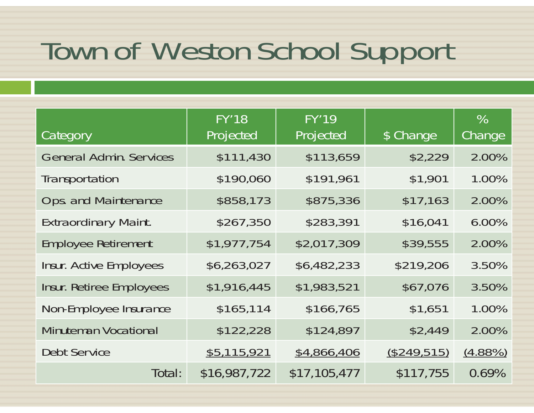## Town of Weston School Support

| Category                        | <b>FY'18</b><br>Projected | <b>FY'19</b><br>Projected | \$ Change   | $\%$<br>Change |
|---------------------------------|---------------------------|---------------------------|-------------|----------------|
| <b>General Admin. Services</b>  | \$111,430                 | \$113,659                 | \$2,229     | 2.00%          |
| Transportation                  | \$190,060                 | \$191,961                 | \$1,901     | 1.00%          |
| <b>Ops. and Maintenance</b>     | \$858,173                 | \$875,336                 | \$17,163    | 2.00%          |
| <b>Extraordinary Maint.</b>     | \$267,350                 | \$283,391                 | \$16,041    | 6.00%          |
| <b>Employee Retirement</b>      | \$1,977,754               | \$2,017,309               | \$39,555    | 2.00%          |
| Insur. Active Employees         | \$6,263,027               | \$6,482,233               | \$219,206   | 3.50%          |
| <b>Insur. Retiree Employees</b> | \$1,916,445               | \$1,983,521               | \$67,076    | 3.50%          |
| Non-Employee Insurance          | \$165,114                 | \$166,765                 | \$1,651     | 1.00%          |
| <b>Minuteman Vocational</b>     | \$122,228                 | \$124,897                 | \$2,449     | 2.00%          |
| <b>Debt Service</b>             | \$5,115,921               | \$4,866,406               | (\$249,515) | $(4.88\%)$     |
| Total:                          | \$16,987,722              | \$17,105,477              | \$117,755   | 0.69%          |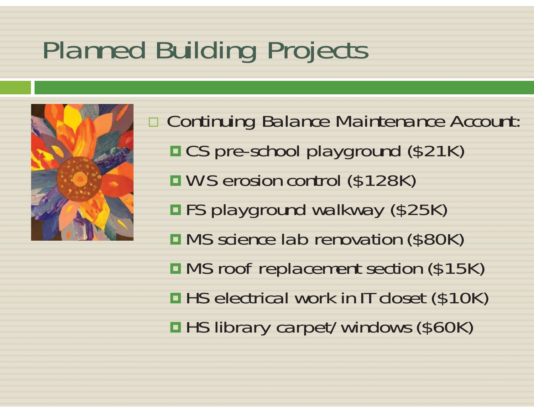# Planned Building Projects



 Continuing Balance Maintenance Account: ■ CS pre-school playground (\$21K) WS erosion control (\$128K) ■FS playground walkway (\$25K) **n MS** science lab renovation (\$80K) **OMS** roof replacement section (\$15K)  $\blacksquare$  **HS electrical work in IT closet (\$10K) HS library carpet/windows (\$60K)**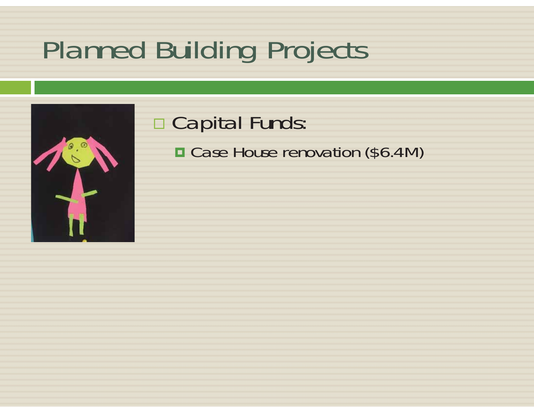# Planned Building Projects



#### □ Capital Funds: **□ Case House renovation (\$6.4M)**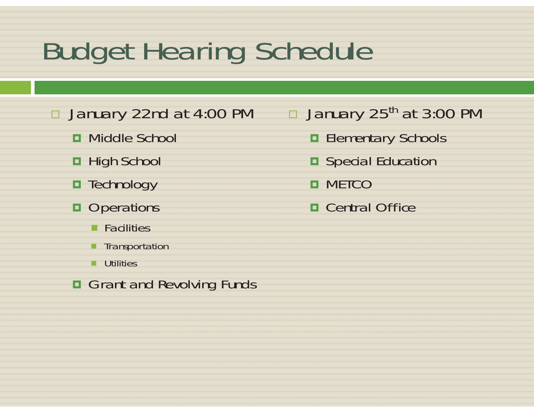## Budget Hearing Schedule

January 22nd at 4:00 PM

- Middle School
- **□** High School
- **□** Technology
- **Operations** 
	- **Facilities**
	- **Transportation**
	- **ultilities**
- **Grant and Revolving Funds**

#### $\Box$ January 25<sup>th</sup> at 3:00 PM

- **Elementary Schools**
- Special Education
- **o** METCO
- Central Office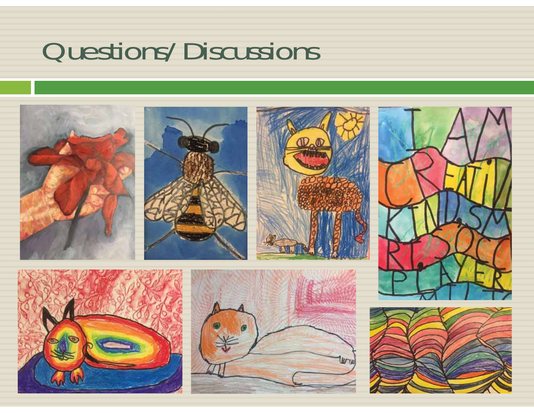## Questions/Discussions

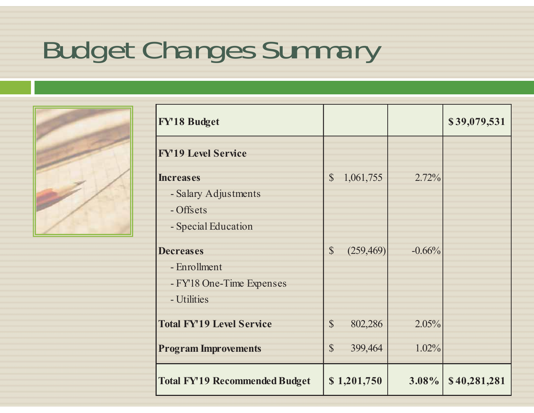# Budget Changes Summary



| <b>FY'18 Budget</b>                   |               |             |          | \$39,079,531 |
|---------------------------------------|---------------|-------------|----------|--------------|
| <b>FY'19 Level Service</b>            |               |             |          |              |
| <b>Increases</b>                      | $\mathbb{S}$  | 1,061,755   | 2.72%    |              |
| - Salary Adjustments                  |               |             |          |              |
| - Offsets                             |               |             |          |              |
| - Special Education                   |               |             |          |              |
| <b>Decreases</b>                      | $\mathbb{S}$  | (259, 469)  | $-0.66%$ |              |
| - Enrollment                          |               |             |          |              |
| - FY18 One-Time Expenses              |               |             |          |              |
| - Utilities                           |               |             |          |              |
| <b>Total FY'19 Level Service</b>      | $\mathcal{S}$ | 802,286     | 2.05%    |              |
| <b>Program Improvements</b>           | $\mathbb{S}$  | 399,464     | 1.02%    |              |
| <b>Total FY'19 Recommended Budget</b> |               | \$1,201,750 | 3.08%    | \$40,281,281 |